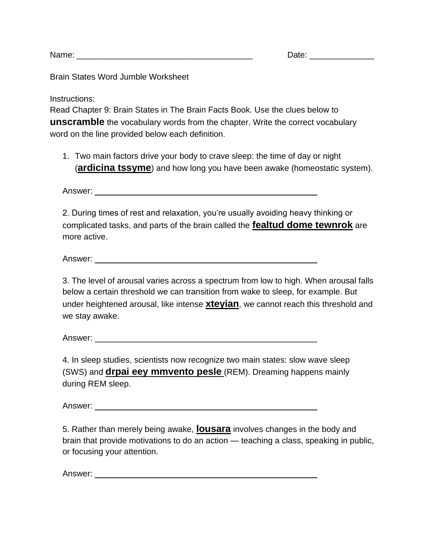Name: <u>Date:</u> 2008. The contract of the contract of the contract of the contract of the contract of the contract of the contract of the contract of the contract of the contract of the contract of the contract of the contra

Brain States Word Jumble Worksheet

Instructions:

Read Chapter 9: Brain States in The Brain Facts Book. Use the clues below to **unscramble** the vocabulary words from the chapter. Write the correct vocabulary word on the line provided below each definition.

1. Two main factors drive your body to crave sleep: the time of day or night (**ardicina tssyme**) and how long you have been awake (homeostatic system).

Answer: \_\_\_\_\_\_\_\_\_\_\_\_\_\_\_\_\_\_\_\_\_\_\_\_\_\_\_\_\_\_\_\_\_\_\_\_\_\_\_\_\_\_\_\_\_\_\_\_

2. During times of rest and relaxation, you're usually avoiding heavy thinking or complicated tasks, and parts of the brain called the **fealtud dome tewnrok** are more active.

Answer: \_\_\_\_\_\_\_\_\_\_\_\_\_\_\_\_\_\_\_\_\_\_\_\_\_\_\_\_\_\_\_\_\_\_\_\_\_\_\_\_\_\_\_\_\_\_\_\_

3. The level of arousal varies across a spectrum from low to high. When arousal falls below a certain threshold we can transition from wake to sleep, for example. But under heightened arousal, like intense **xteyian**, we cannot reach this threshold and we stay awake.

Answer: \_\_\_\_\_\_\_\_\_\_\_\_\_\_\_\_\_\_\_\_\_\_\_\_\_\_\_\_\_\_\_\_\_\_\_\_\_\_\_\_\_\_\_\_\_\_\_\_

4. In sleep studies, scientists now recognize two main states: slow wave sleep (SWS) and **drpai eey mmvento pesle** (REM). Dreaming happens mainly during REM sleep.

Answer: \_\_\_\_\_\_\_\_\_\_\_\_\_\_\_\_\_\_\_\_\_\_\_\_\_\_\_\_\_\_\_\_\_\_\_\_\_\_\_\_\_\_\_\_\_\_\_\_

5. Rather than merely being awake, **lousara** involves changes in the body and brain that provide motivations to do an action — teaching a class, speaking in public, or focusing your attention.

Answer: